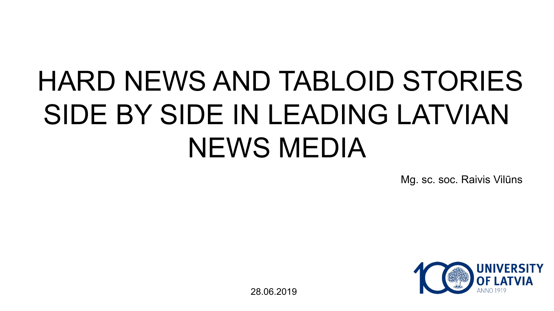# HARD NEWS AND TABLOID STORIES SIDE BY SIDE IN LEADING LATVIAN NEWS MEDIA

Mg. sc. soc. Raivis Vilūns



28.06.2019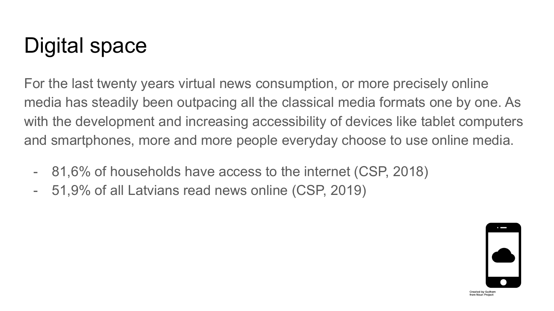# Digital space

For the last twenty years virtual news consumption, or more precisely online media has steadily been outpacing all the classical media formats one by one. As with the development and increasing accessibility of devices like tablet computers and smartphones, more and more people everyday choose to use online media.

- 81,6% of households have access to the internet (CSP, 2018)
- 51,9% of all Latvians read news online (CSP, 2019)

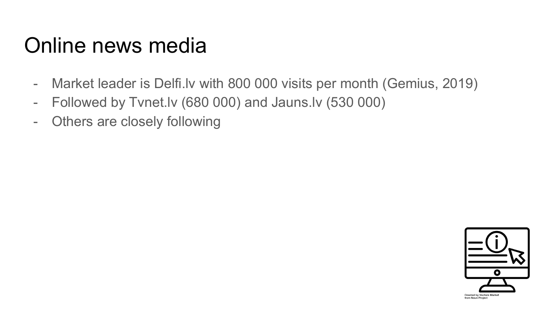### Online news media

- Market leader is Delfi.lv with 800 000 visits per month (Gemius, 2019)
- Followed by Tvnet.lv (680 000) and Jauns.lv (530 000)
- Others are closely following

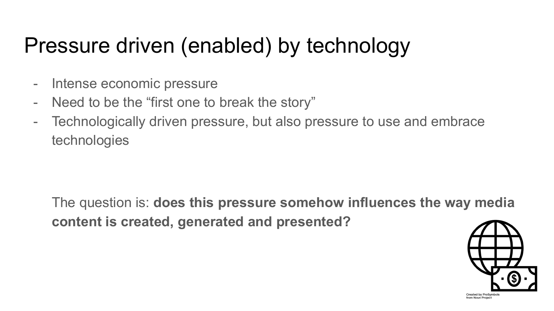## Pressure driven (enabled) by technology

- Intense economic pressure
- Need to be the "first one to break the story"
- Technologically driven pressure, but also pressure to use and embrace technologies

The question is: **does this pressure somehow influences the way media content is created, generated and presented?**



Created by ProSymbols from Noun Project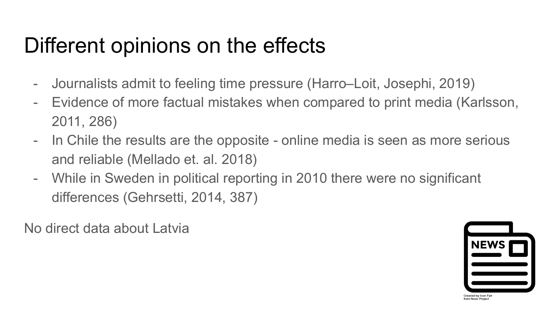## Different opinions on the effects

- Journalists admit to feeling time pressure (Harro–Loit, Josephi, 2019)
- Evidence of more factual mistakes when compared to print media (Karlsson, 2011, 286)
- In Chile the results are the opposite online media is seen as more serious and reliable (Mellado et. al. 2018)
- While in Sweden in political reporting in 2010 there were no significant differences (Gehrsetti, 2014, 387)

No direct data about Latvia

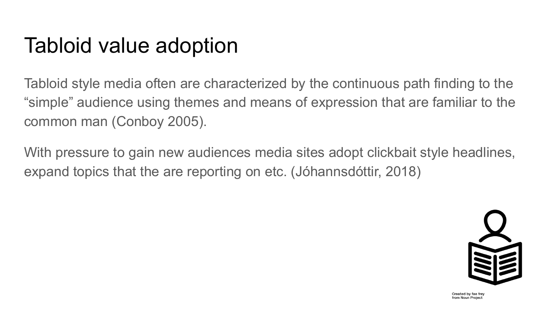## Tabloid value adoption

Tabloid style media often are characterized by the continuous path finding to the "simple" audience using themes and means of expression that are familiar to the common man (Conboy 2005).

With pressure to gain new audiences media sites adopt clickbait style headlines, expand topics that the are reporting on etc. (Jóhannsdóttir, 2018)



Created by fae frey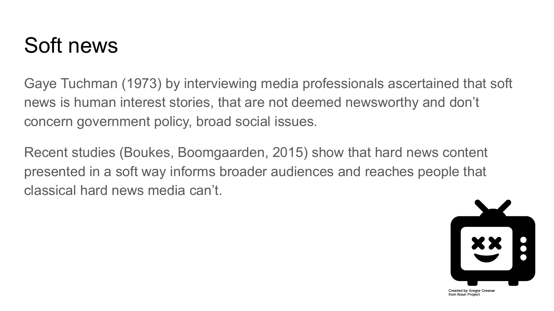## Soft news

Gaye Tuchman (1973) by interviewing media professionals ascertained that soft news is human interest stories, that are not deemed newsworthy and don't concern government policy, broad social issues.

Recent studies (Boukes, Boomgaarden, 2015) show that hard news content presented in a soft way informs broader audiences and reaches people that classical hard news media can't.



Created by Gregor Cresnai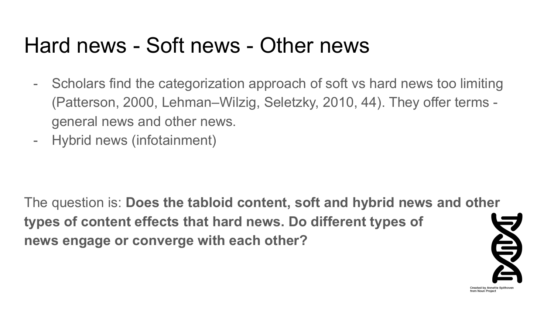#### Hard news - Soft news - Other news

- Scholars find the categorization approach of soft vs hard news too limiting (Patterson, 2000, Lehman–Wilzig, Seletzky, 2010, 44). They offer terms general news and other news.
- Hybrid news (infotainment)

The question is: **Does the tabloid content, soft and hybrid news and other types of content effects that hard news. Do different types of news engage or converge with each other?** 



rom Noun Project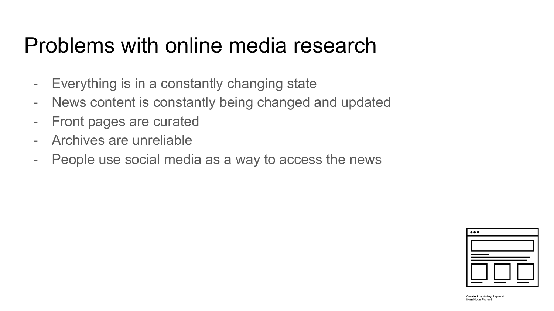### Problems with online media research

- Everything is in a constantly changing state
- News content is constantly being changed and updated
- Front pages are curated
- Archives are unreliable
- People use social media as a way to access the news



Created by Hailey Papworth from Noun Project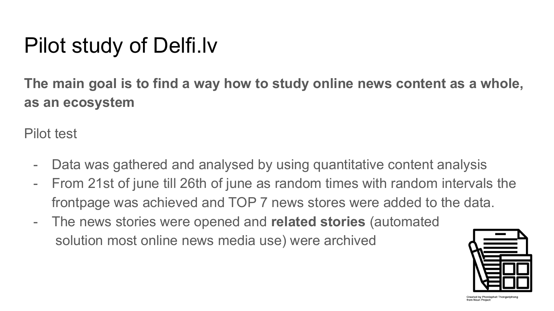# Pilot study of Delfi.lv

**The main goal is to find a way how to study online news content as a whole, as an ecosystem**

Pilot test

- Data was gathered and analysed by using quantitative content analysis
- From 21st of june till 26th of june as random times with random intervals the frontpage was achieved and TOP 7 news stores were added to the data.
- The news stories were opened and **related stories** (automated solution most online news media use) were archived



Created by Phonlaphat Thongsripho from Noun Project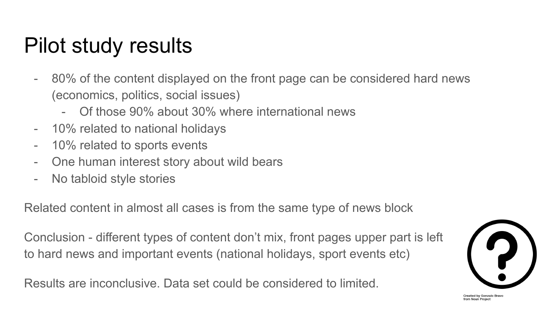## Pilot study results

- 80% of the content displayed on the front page can be considered hard news (economics, politics, social issues)
	- Of those 90% about 30% where international news
- 10% related to national holidays
- 10% related to sports events
- One human interest story about wild bears
- No tabloid style stories

Related content in almost all cases is from the same type of news block

Conclusion - different types of content don't mix, front pages upper part is left to hard news and important events (national holidays, sport events etc)

Results are inconclusive. Data set could be considered to limited.

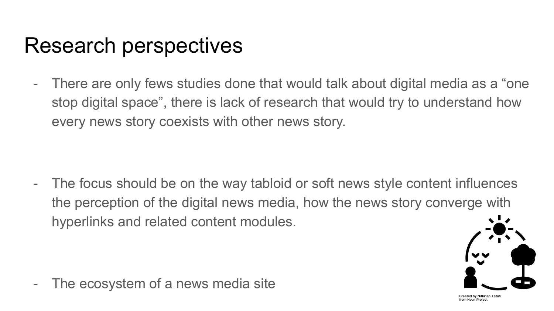#### Research perspectives

- There are only fews studies done that would talk about digital media as a "one stop digital space", there is lack of research that would try to understand how every news story coexists with other news story.

- The focus should be on the way tabloid or soft news style content influences the perception of the digital news media, how the news story converge with hyperlinks and related content modules.

- The ecosystem of a news media site

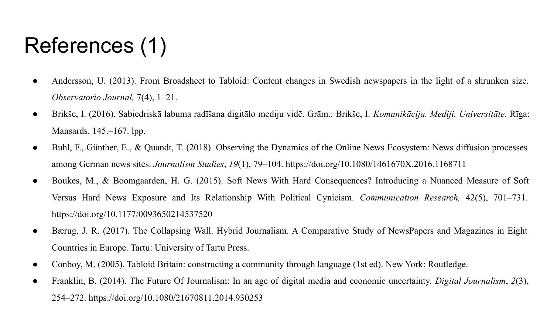# References (1)

- Andersson, U. (2013). From Broadsheet to Tabloid: Content changes in Swedish newspapers in the light of a shrunken size. *Observatorio Journal,* 7(4), 1–21.
- Brikše, I. (2016). Sabiedriskā labuma radīšana digitālo mediju vidē. Grām.: Brikše, I. *Komunikācija. Mediji. Universitāte.* Rīga: Mansards. 145.–167. lpp.
- Buhl, F., Günther, E., & Quandt, T. (2018). Observing the Dynamics of the Online News Ecosystem: News diffusion processes among German news sites. *Journalism Studies*, *19*(1), 79–104. https://doi.org/10.1080/1461670X.2016.1168711
- Boukes, M., & Boomgaarden, H. G. (2015). Soft News With Hard Consequences? Introducing a Nuanced Measure of Soft Versus Hard News Exposure and Its Relationship With Political Cynicism. *Communication Research,* 42(5), 701–731. https://doi.org/10.1177/0093650214537520
- Bærug, J. R. (2017). The Collapsing Wall. Hybrid Journalism. A Comparative Study of NewsPapers and Magazines in Eight Countries in Europe. Tartu: University of Tartu Press.
- Conboy, M. (2005). Tabloid Britain: constructing a community through language (1st ed). New York: Routledge.
- Franklin, B. (2014). The Future Of Journalism: In an age of digital media and economic uncertainty. *Digital Journalism*, *2*(3), 254–272[.](https://doi.org/10.1080/21670811.2014.930253) https://doi.org/10.1080/21670811.2014.930253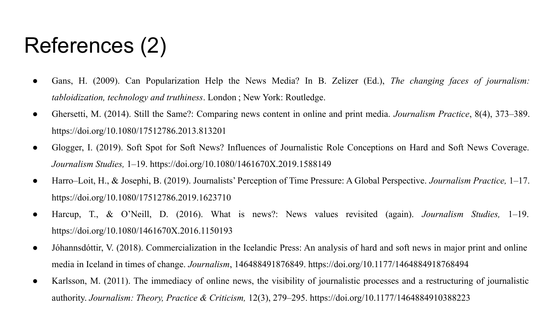# References (2)

- Gans, H. (2009). Can Popularization Help the News Media? In B. Zelizer (Ed.), *The changing faces of journalism: tabloidization, technology and truthiness*. London ; New York: Routledge.
- Ghersetti, M. (2014). Still the Same?: Comparing news content in online and print media. *Journalism Practice*, 8(4), 373–389. https://doi.org/10.1080/17512786.2013.813201
- Glogger, I. (2019). Soft Spot for Soft News? Influences of Journalistic Role Conceptions on Hard and Soft News Coverage. *Journalism Studies,* 1–19. https://doi.org/10.1080/1461670X.2019.1588149
- Harro–Loit, H., & Josephi, B. (2019). Journalists' Perception of Time Pressure: A Global Perspective. *Journalism Practice,* 1–17. https://doi.org/10.1080/17512786.2019.1623710
- Harcup, T., & O'Neill, D. (2016). What is news?: News values revisited (again). *Journalism Studies,* 1–19. https://doi.org/10.1080/1461670X.2016.1150193
- Jóhannsdóttir, V. (2018). Commercialization in the Icelandic Press: An analysis of hard and soft news in major print and online media in Iceland in times of change. *Journalism*, 146488491876849. https://doi.org/10.1177/1464884918768494
- Karlsson, M. (2011). The immediacy of online news, the visibility of journalistic processes and a restructuring of journalistic authority. *Journalism: Theory, Practice & Criticism,* 12(3), 279–295. https://doi.org/10.1177/1464884910388223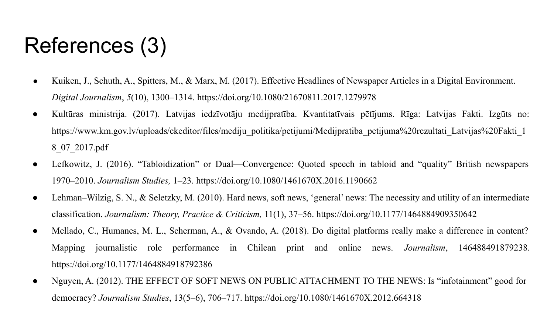# References (3)

- Kuiken, J., Schuth, A., Spitters, M., & Marx, M. (2017). Effective Headlines of Newspaper Articles in a Digital Environment. *Digital Journalism*, *5*(10), 1300–1314. https://doi.org/10.1080/21670811.2017.1279978
- Kultūras ministrija. (2017). Latvijas iedzīvotāju medijpratība. Kvantitatīvais pētījums. Rīga: Latvijas Fakti. Izgūts no: https://www.km.gov.lv/uploads/ckeditor/files/mediju\_politika/petijumi/Medijpratiba\_petijuma%20rezultati\_Latvijas%20Fakti\_1 8\_07\_2017.pdf
- Lefkowitz, J. (2016). "Tabloidization" or Dual—Convergence: Quoted speech in tabloid and "quality" British newspapers 1970–2010. *Journalism Studies,* 1–23. https://doi.org/10.1080/1461670X.2016.1190662
- Lehman–Wilzig, S. N., & Seletzky, M. (2010). Hard news, soft news, 'general' news: The necessity and utility of an intermediate classification. *Journalism: Theory, Practice & Criticism,* 11(1), 37–56. https://doi.org/10.1177/1464884909350642
- Mellado, C., Humanes, M. L., Scherman, A., & Ovando, A. (2018). Do digital platforms really make a difference in content? Mapping journalistic role performance in Chilean print and online news. *Journalism*, 146488491879238. https://doi.org/10.1177/1464884918792386
- Nguyen, A. (2012). THE EFFECT OF SOFT NEWS ON PUBLIC ATTACHMENT TO THE NEWS: Is "infotainment" good for democracy? *Journalism Studies*, 13(5–6), 706–717. https://doi.org/10.1080/1461670X.2012.664318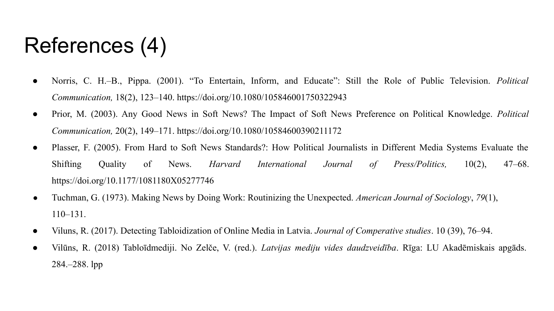## References (4)

- Norris, C. H.–B., Pippa. (2001). "To Entertain, Inform, and Educate": Still the Role of Public Television. *Political Communication,* 18(2), 123–140. https://doi.org/10.1080/105846001750322943
- Prior, M. (2003). Any Good News in Soft News? The Impact of Soft News Preference on Political Knowledge. *Political Communication,* 20(2), 149–171. https://doi.org/10.1080/10584600390211172
- Plasser, F. (2005). From Hard to Soft News Standards?: How Political Journalists in Different Media Systems Evaluate the Shifting Quality of News. *Harvard International Journal of Press/Politics,* 10(2), 47–68. https://doi.org/10.1177/1081180X05277746
- Tuchman, G. (1973). Making News by Doing Work: Routinizing the Unexpected. *American Journal of Sociology*, *79*(1), 110–131.
- Viluns, R. (2017). Detecting Tabloidization of Online Media in Latvia. *Journal of Comperative studies*. 10 (39), 76–94.
- Vilūns, R. (2018) Tabloīdmediji. No Zelče, V. (red.). *Latvijas mediju vides daudzveidība*. Rīga: LU Akadēmiskais apgāds. 284.–288. lpp